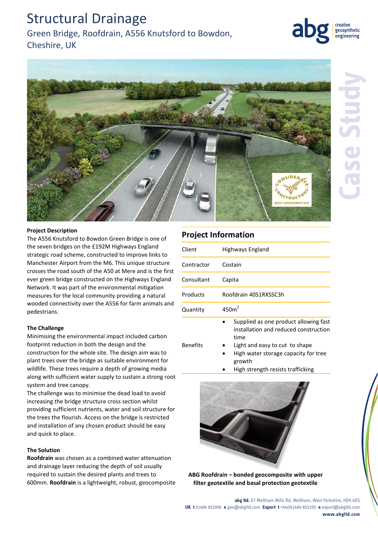## Structural Drainage

### Green Bridge, Roofdrain, A556 Knutsford to Bowdon,

Cheshire, UK



geosynthetic engineering

#### **Project Description**

The A556 Knutsford to Bowdon Green Bridge is one of the seven bridges on the £192M Highways England strategic road scheme, constructed to improve links to Manchester Airport from the M6. This unique structure crosses the road south of the A50 at Mere and is the first ever green bridge constructed on the Highways England Network. It was part of the environmental mitigation measures for the local community providing a natural wooded connectivity over the A556 for farm animals and pedestrians.

#### **The Challenge**

Minimising the environmental impact included carbon footprint reduction in both the design and the construction for the whole site. The design aim was to plant trees over the bridge as suitable environment for wildlife. These trees require a depth of growing media along with sufficient water supply to sustain a strong root system and tree canopy.

The challenge was to minimise the dead load to avoid increasing the bridge structure cross section whilst providing sufficient nutrients, water and soil structure for the trees the flourish. Access on the bridge is restricted and installation of any chosen product should be easy and quick to place.

#### **The Solution**

**Roofdrain** was chosen as a combined water attenuation and drainage layer reducing the depth of soil usually required to sustain the desired plants and trees to 600mm. **Roofdrain** is a lightweight, robust, geocomposite

### **Project Information**

| Client     | Highways England                                                                                                                                                                                                |
|------------|-----------------------------------------------------------------------------------------------------------------------------------------------------------------------------------------------------------------|
| Contractor | Costain                                                                                                                                                                                                         |
| Consultant | Capita                                                                                                                                                                                                          |
| Products   | Roofdrain 40S1RXSSC3h                                                                                                                                                                                           |
| Quantity   | 450m <sup>2</sup>                                                                                                                                                                                               |
| Benefits   | Supplied as one product allowing fast<br>installation and reduced construction<br>time<br>Light and easy to cut to shape<br>High water storage capacity for tree<br>growth<br>High strength resists trafficking |



**ABG Roofdrain – bonded geocomposite with upper filter geotextile and basal protection geotextile**